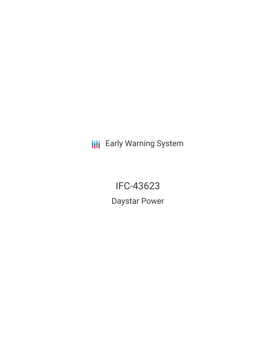**III** Early Warning System

IFC-43623 Daystar Power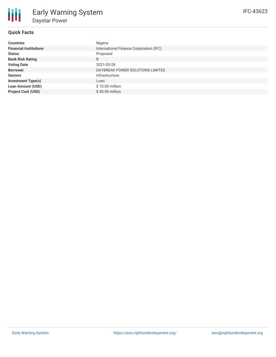

# **Quick Facts**

| <b>Countries</b>              | Nigeria                                 |
|-------------------------------|-----------------------------------------|
| <b>Financial Institutions</b> | International Finance Corporation (IFC) |
| <b>Status</b>                 | Proposed                                |
| <b>Bank Risk Rating</b>       | B                                       |
| <b>Voting Date</b>            | 2021-05-28                              |
| <b>Borrower</b>               | DAYBREAK POWER SOLUTIONS LIMITED        |
| <b>Sectors</b>                | Infrastructure                          |
| <b>Investment Type(s)</b>     | Loan                                    |
| <b>Loan Amount (USD)</b>      | \$10.00 million                         |
| <b>Project Cost (USD)</b>     | $$40.00$ million                        |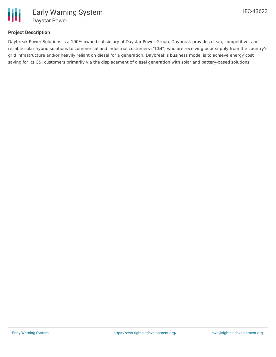

## **Project Description**

Daybreak Power Solutions is a 100% owned subsidiary of Daystar Power Group. Daybreak provides clean, competitive, and reliable solar hybrid solutions to commercial and industrial customers ("C&I") who are receiving poor supply from the country's grid infrastructure and/or heavily reliant on diesel for a generation. Daybreak's business model is to achieve energy cost saving for its C&I customers primarily via the displacement of diesel generation with solar and battery-based solutions.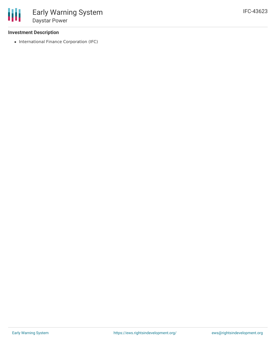### **Investment Description**

• International Finance Corporation (IFC)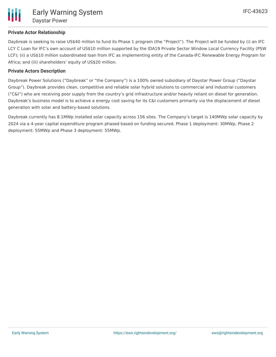# **Private Actor Relationship**

Daybreak is seeking to raise US\$40 million to fund its Phase 1 program (the "Project"). The Project will be funded by (i) an IFC LCY C Loan for IFC's own account of US\$10 million supported by the IDA19 Private Sector Window Local Currency Facility (PSW LCF); (ii) a US\$10 million subordinated loan from IFC as implementing entity of the Canada-IFC Renewable Energy Program for Africa; and (iii) shareholders' equity of US\$20 million.

# **Private Actors Description**

Daybreak Power Solutions ("Daybreak" or "the Company") is a 100% owned subsidiary of Daystar Power Group ("Daystar Group"). Daybreak provides clean, competitive and reliable solar hybrid solutions to commercial and industrial customers ("C&I") who are receiving poor supply from the country's grid infrastructure and/or heavily reliant on diesel for generation. Daybreak's business model is to achieve a energy cost saving for its C&I customers primarily via the displacement of diesel generation with solar and battery-based solutions.

Daybreak currently has 8.1MWp installed solar capacity across 156 sites. The Company's target is 140MWp solar capacity by 2024 via a 4-year capital expenditure program phased based on funding secured. Phase 1 deployment: 30MWp, Phase 2 deployment: 55MWp and Phase 3 deployment: 55MWp.